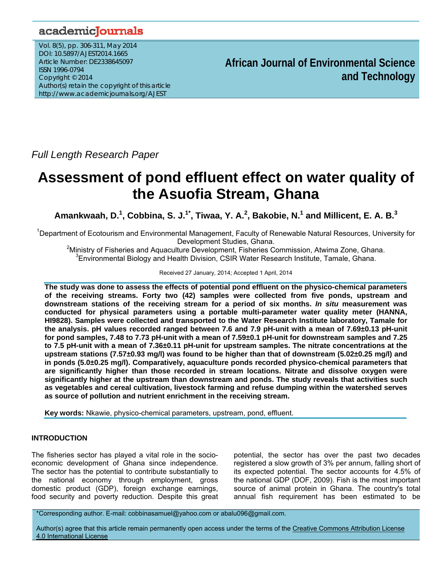# academicJournals

Vol. 8(5), pp. 306-311, May 2014 DOI: 10.5897/AJEST2014.1665 Article Number: DE2338645097 ISSN 1996-0794 Copyright © 2014 Author(s) retain the copyright of this article http://www.academicjournals.org/AJEST

**African Journal of Environmental Science and Technology**

*Full Length Research Paper* 

# **Assessment of pond effluent effect on water quality of the Asuofia Stream, Ghana**

Amankwaah, D.<sup>1</sup>, Cobbina, S. J.<sup>1\*</sup>, Tiwaa, Y. A.<sup>2</sup>, Bakobie, N.<sup>1</sup> and Millicent, E. A. B.<sup>3</sup>

<sup>1</sup>Department of Ecotourism and Environmental Management, Faculty of Renewable Natural Resources, University for

Development Studies, Ghana.<br>Ministry of Fisheries and Aquaculture Development, Fisheries Commission, Atwima Zone, Ghana. <sup>3</sup> Environmental Biology and Health Division, CSIR Water Research Institute, Tamale, Ghana.

Received 27 January, 2014; Accepted 1 April, 2014

**The study was done to assess the effects of potential pond effluent on the physico-chemical parameters of the receiving streams. Forty two (42) samples were collected from five ponds, upstream and downstream stations of the receiving stream for a period of six months.** *In situ* **measurement was conducted for physical parameters using a portable multi-parameter water quality meter (HANNA, HI9828). Samples were collected and transported to the Water Research Institute laboratory, Tamale for the analysis. pH values recorded ranged between 7.6 and 7.9 pH-unit with a mean of 7.69±0.13 pH-unit for pond samples, 7.48 to 7.73 pH-unit with a mean of 7.59±0.1 pH-unit for downstream samples and 7.25 to 7.5 pH-unit with a mean of 7.36±0.11 pH-unit for upstream samples. The nitrate concentrations at the upstream stations (7.57±0.93 mg/l) was found to be higher than that of downstream (5.02±0.25 mg/l) and in ponds (5.0±0.25 mg/l). Comparatively, aquaculture ponds recorded physico-chemical parameters that are significantly higher than those recorded in stream locations. Nitrate and dissolve oxygen were significantly higher at the upstream than downstream and ponds. The study reveals that activities such as vegetables and cereal cultivation, livestock farming and refuse dumping within the watershed serves as source of pollution and nutrient enrichment in the receiving stream.** 

**Key words:** Nkawie, physico-chemical parameters, upstream, pond, effluent.

# **INTRODUCTION**

The fisheries sector has played a vital role in the socioeconomic development of Ghana since independence. The sector has the potential to contribute substantially to the national economy through employment, gross domestic product (GDP), foreign exchange earnings, food security and poverty reduction. Despite this great

potential, the sector has over the past two decades registered a slow growth of 3% per annum, falling short of its expected potential. The sector accounts for 4.5% of the national GDP (DOF, 2009). Fish is the most important source of animal protein in Ghana. The country's total annual fish requirement has been estimated to be

\*Corresponding author. E-mail: cobbinasamuel@yahoo.com or abalu096@gmail.com.

Author(s) agree that this article remain permanently open access under the terms of the Creative Commons Attribution License 4.0 International License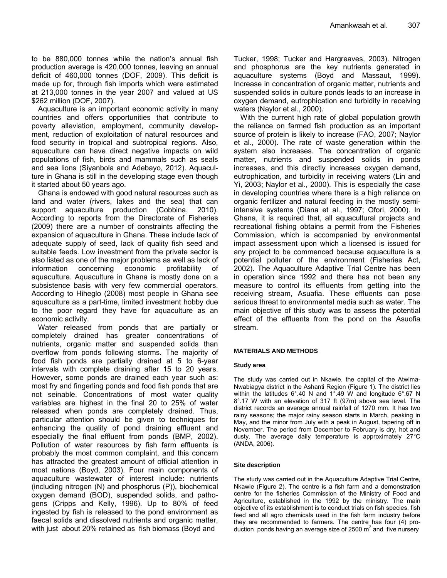to be 880,000 tonnes while the nation's annual fish production average is 420,000 tonnes, leaving an annual deficit of 460,000 tonnes (DOF, 2009). This deficit is made up for, through fish imports which were estimated at 213,000 tonnes in the year 2007 and valued at US \$262 million (DOF, 2007).

Aquaculture is an important economic activity in many countries and offers opportunities that contribute to poverty alleviation, employment, community development, reduction of exploitation of natural resources and food security in tropical and subtropical regions. Also, aquaculture can have direct negative impacts on wild populations of fish, birds and mammals such as seals and sea lions (Siyanbola and Adebayo, 2012). Aquaculture in Ghana is still in the developing stage even though it started about 50 years ago.

Ghana is endowed with good natural resources such as land and water (rivers, lakes and the sea) that can support aquaculture production (Cobbina, 2010). According to reports from the Directorate of Fisheries (2009) there are a number of constraints affecting the expansion of aquaculture in Ghana. These include lack of adequate supply of seed, lack of quality fish seed and suitable feeds. Low investment from the private sector is also listed as one of the major problems as well as lack of information concerning economic profitability of aquaculture. Aquaculture in Ghana is mostly done on a subsistence basis with very few commercial operators. According to Hiheglo (2008) most people in Ghana see aquaculture as a part-time, limited investment hobby due to the poor regard they have for aquaculture as an economic activity.

Water released from ponds that are partially or completely drained has greater concentrations of nutrients, organic matter and suspended solids than overflow from ponds following storms. The majority of food fish ponds are partially drained at 5 to 6-year intervals with complete draining after 15 to 20 years. However, some ponds are drained each year such as: most fry and fingerling ponds and food fish ponds that are not seinable. Concentrations of most water quality variables are highest in the final 20 to 25% of water released when ponds are completely drained. Thus, particular attention should be given to techniques for enhancing the quality of pond draining effluent and especially the final effluent from ponds (BMP, 2002). Pollution of water resources by fish farm effluents is probably the most common complaint, and this concern has attracted the greatest amount of official attention in most nations (Boyd, 2003). Four main components of aquaculture wastewater of interest include: nutrients (including nitrogen (N) and phosphorus (P)), biochemical oxygen demand (BOD), suspended solids, and pathogens (Cripps and Kelly, 1996). Up to 80% of feed ingested by fish is released to the pond environment as faecal solids and dissolved nutrients and organic matter, with just about 20% retained as fish biomass (Boyd and

Tucker, 1998; Tucker and Hargreaves, 2003). Nitrogen and phosphorus are the key nutrients generated in aquaculture systems (Boyd and Massaut, 1999). Increase in concentration of organic matter, nutrients and suspended solids in culture ponds leads to an increase in oxygen demand, eutrophication and turbidity in receiving waters (Naylor et al., 2000).

With the current high rate of global population growth the reliance on farmed fish production as an important source of protein is likely to increase (FAO, 2007; Naylor et al., 2000). The rate of waste generation within the system also increases. The concentration of organic matter, nutrients and suspended solids in ponds increases, and this directly increases oxygen demand, eutrophication, and turbidity in receiving waters (Lin and Yi, 2003; Naylor et al., 2000). This is especially the case in developing countries where there is a high reliance on organic fertilizer and natural feeding in the mostly semiintensive systems (Diana et al., 1997; Ofori, 2000). In Ghana, it is required that, all aquacultural projects and recreational fishing obtains a permit from the Fisheries Commission, which is accompanied by environmental impact assessment upon which a licensed is issued for any project to be commenced because aquaculture is a potential polluter of the environment (Fisheries Act, 2002). The Aquaculture Adaptive Trial Centre has been in operation since 1992 and there has not been any measure to control its effluents from getting into the receiving stream, Asuafia. These effluents can pose serious threat to environmental media such as water. The main objective of this study was to assess the potential effect of the effluents from the pond on the Asuofia stream.

# **MATERIALS AND METHODS**

# **Study area**

The study was carried out in Nkawie, the capital of the Atwima-Nwabiagya district in the Ashanti Region (Figure 1). The district lies within the latitudes 6°.40 N and 1°.49 W and longitude 6°.67 N 8°.17 W with an elevation of 317 ft (97m) above sea level. The district records an average annual rainfall of 1270 mm. It has two rainy seasons; the major rainy season starts in March, peaking in May, and the minor from July with a peak in August, tapering off in November. The period from December to February is dry, hot and dusty. The average daily temperature is approximately 27°C (ANDA, 2006).

#### **Site description**

The study was carried out in the Aquaculture Adaptive Trial Centre, Nkawie (Figure 2). The centre is a fish farm and a demonstration centre for the fisheries Commission of the Ministry of Food and Agriculture, established in the 1992 by the ministry. The main objective of its establishment is to conduct trials on fish species, fish feed and all agro chemicals used in the fish farm industry before they are recommended to farmers. The centre has four (4) production ponds having an average size of 2500  $m^2$  and five nursery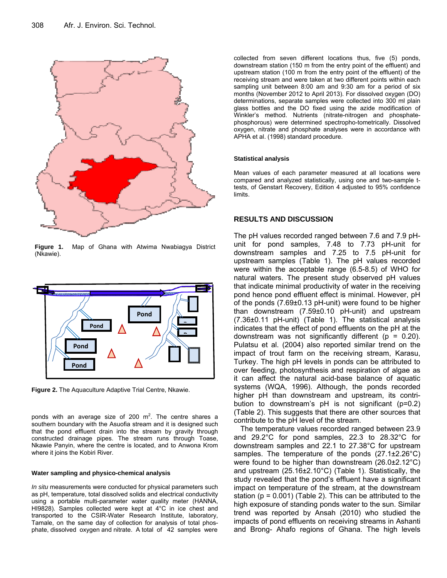

**Figure 1.** Map of Ghana with Atwima Nwabiagya District (Nkawie).



**Figure 2.** The Aquaculture Adaptive Trial Centre, Nkawie.

ponds with an average size of 200  $m^2$ . The centre shares a southern boundary with the Asuofia stream and it is designed such that the pond effluent drain into the stream by gravity through constructed drainage pipes. The stream runs through Toase, Nkawie Panyin, where the centre is located, and to Anwona Krom where it joins the Kobiri River.

#### **Water sampling and physico-chemical analysis**

*In situ* measurements were conducted for physical parameters such as pH, temperature, total dissolved solids and electrical conductivity using a portable multi-parameter water quality meter (HANNA, HI9828). Samples collected were kept at 4°C in ice chest and transported to the CSIR-Water Research Institute, laboratory, Tamale, on the same day of collection for analysis of total phosphate, dissolved oxygen and nitrate. A total of 42 samples were

collected from seven different locations thus, five (5) ponds, downstream station (150 m from the entry point of the effluent) and upstream station (100 m from the entry point of the effluent) of the receiving stream and were taken at two different points within each sampling unit between 8:00 am and 9:30 am for a period of six months (November 2012 to April 2013). For dissolved oxygen (DO) determinations, separate samples were collected into 300 ml plain glass bottles and the DO fixed using the azide modification of Winkler's method. Nutrients (nitrate-nitrogen and phosphatephosphorous) were determined spectropho-tometrically. Dissolved oxygen, nitrate and phosphate analyses were in accordance with APHA et al. (1998) standard procedure.

#### **Statistical analysis**

Mean values of each parameter measured at all locations were compared and analyzed statistically, using one and two-sample ttests, of Genstart Recovery, Edition 4 adjusted to 95% confidence limits.

# **RESULTS AND DISCUSSION**

The pH values recorded ranged between 7.6 and 7.9 pHunit for pond samples, 7.48 to 7.73 pH-unit for downstream samples and 7.25 to 7.5 pH-unit for upstream samples (Table 1). The pH values recorded were within the acceptable range (6.5-8.5) of WHO for natural waters. The present study observed pH values that indicate minimal productivity of water in the receiving pond hence pond effluent effect is minimal. However, pH of the ponds (7.69±0.13 pH-unit) were found to be higher than downstream (7.59±0.10 pH-unit) and upstream (7.36±0.11 pH-unit) (Table 1). The statistical analysis indicates that the effect of pond effluents on the pH at the downstream was not significantly different ( $p = 0.20$ ). Pulatsu et al. (2004) also reported similar trend on the impact of trout farm on the receiving stream, Karasu, Turkey. The high pH levels in ponds can be attributed to over feeding, photosynthesis and respiration of algae as it can affect the natural acid-base balance of aquatic systems (WQA, 1996). Although, the ponds recorded higher pH than downstream and upstream, its contribution to downstream's pH is not significant (p=0.2) (Table 2). This suggests that there are other sources that contribute to the pH level of the stream.

The temperature values recorded ranged between 23.9 and 29.2°C for pond samples, 22.3 to 28.32°C for downstream samples and 22.1 to 27.38°C for upstream samples. The temperature of the ponds (27.1±2.26°C) were found to be higher than downstream (26.0±2.12°C) and upstream (25.16±2.10°C) (Table 1). Statistically, the study revealed that the pond's effluent have a significant impact on temperature of the stream, at the downstream station ( $p = 0.001$ ) (Table 2). This can be attributed to the high exposure of standing ponds water to the sun. Similar trend was reported by Ansah (2010) who studied the impacts of pond effluents on receiving streams in Ashanti and Brong- Ahafo regions of Ghana. The high levels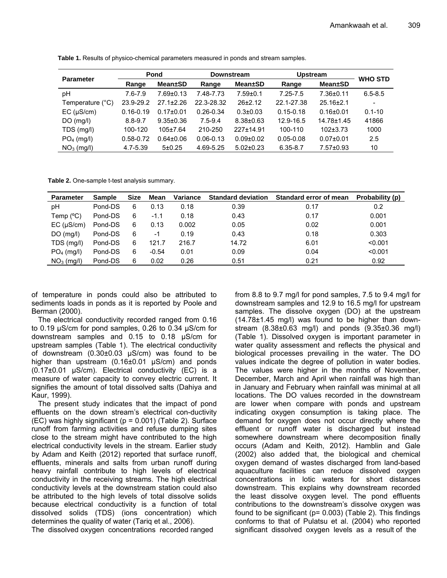| <b>Parameter</b>          | Pond             |                 | <b>Downstream</b> |                 | <b>Upstream</b> |                 | <b>WHO STD</b>           |
|---------------------------|------------------|-----------------|-------------------|-----------------|-----------------|-----------------|--------------------------|
|                           | Mean±SD<br>Range |                 | Range             | <b>Mean</b> ±SD | Range           | <b>Mean</b> ±SD |                          |
| рH                        | $7.6 - 7.9$      | $7.69 \pm 0.13$ | 7.48-7.73         | $7.59 \pm 0.1$  | $7.25 - 7.5$    | 7.36±0.11       | $6.5 - 8.5$              |
| Temperature $(^{\circ}C)$ | 23.9-29.2        | $27.1 \pm 2.26$ | 22.3-28.32        | $26+2.12$       | 22.1-27.38      | $25.16 \pm 2.1$ | $\overline{\phantom{a}}$ |
| EC (µS/cm)                | $0.16 - 0.19$    | $0.17 \pm 0.01$ | $0.26 - 0.34$     | $0.3 \pm 0.03$  | $0.15 - 0.18$   | $0.16 + 0.01$   | $0.1 - 10$               |
| $DO$ (mg/l)               | $8.8 - 9.7$      | $9.35 \pm 0.36$ | $7.5 - 9.4$       | $8.38 \pm 0.63$ | 12.9-16.5       | 14.78±1.45      | 41866                    |
| TDS (mg/l)                | 100-120          | $105 \pm 7.64$  | 210-250           | 227±14.91       | 100-110         | $102+3.73$      | 1000                     |
| $PO4$ (mg/l)              | $0.58 - 0.72$    | $0.64 \pm 0.06$ | $0.06 - 0.13$     | $0.09 + 0.02$   | $0.05 - 0.08$   | $0.07 + 0.01$   | 2.5                      |
| $NO3$ (mg/l)              | 4.7-5.39         | 5±0.25          | 4.69-5.25         | $5.02 \pm 0.23$ | $6.35 - 8.7$    | $7.57 \pm 0.93$ | 10                       |

**Table 1.** Results of physico-chemical parameters measured in ponds and stream samples.

**Table 2.** One-sample t-test analysis summary.

| Parameter          | <b>Sample</b> | Size | Mean    | Variance | <b>Standard deviation</b> | Standard error of mean | Probability (p) |
|--------------------|---------------|------|---------|----------|---------------------------|------------------------|-----------------|
| рH                 | Pond-DS       | 6    | 0.13    | 0.18     | 0.39                      | 0.17                   | 0.2             |
| Temp $(^{\circ}C)$ | Pond-DS       | 6    | $-1.1$  | 0.18     | 0.43                      | 0.17                   | 0.001           |
| $EC$ ( $\mu$ S/cm) | Pond-DS       | 6    | 0.13    | 0.002    | 0.05                      | 0.02                   | 0.001           |
| $DO$ (mg/l)        | Pond-DS       | 6    | -1      | 0.19     | 0.43                      | 0.18                   | 0.303           |
| TDS (mg/l)         | Pond-DS       | 6    | 121.7   | 216.7    | 14.72                     | 6.01                   | < 0.001         |
| $PO4$ (mg/l)       | Pond-DS       | 6    | $-0.54$ | 0.01     | 0.09                      | 0.04                   | < 0.001         |
| $NO3$ (mg/l)       | Pond-DS       | 6    | 0.02    | 0.26     | 0.51                      | 0.21                   | 0.92            |

of temperature in ponds could also be attributed to sediments loads in ponds as it is reported by Poole and Berman (2000).

The electrical conductivity recorded ranged from 0.16 to 0.19 μS/cm for pond samples, 0.26 to 0.34 μS/cm for downstream samples and 0.15 to 0.18 μS/cm for upstream samples (Table 1). The electrical conductivity of downstream (0.30±0.03 μS/cm) was found to be higher than upstream (0.16±0.01 μS/cm) and ponds (0.17±0.01 μS/cm). Electrical conductivity (EC) is a measure of water capacity to convey electric current. It signifies the amount of total dissolved salts (Dahiya and Kaur, 1999).

The present study indicates that the impact of pond effluents on the down stream's electrical con-ductivity (EC) was highly significant (p = 0.001) (Table 2). Surface runoff from farming activities and refuse dumping sites close to the stream might have contributed to the high electrical conductivity levels in the stream. Earlier study by Adam and Keith (2012) reported that surface runoff, effluents, minerals and salts from urban runoff during heavy rainfall contribute to high levels of electrical conductivity in the receiving streams. The high electrical conductivity levels at the downstream station could also be attributed to the high levels of total dissolve solids because electrical conductivity is a function of total dissolved solids (TDS) (ions concentration) which determines the quality of water (Tariq et al., 2006).

The dissolved oxygen concentrations recorded ranged

from 8.8 to 9.7 mg/l for pond samples, 7.5 to 9.4 mg/l for downstream samples and 12.9 to 16.5 mg/l for upstream samples. The dissolve oxygen (DO) at the upstream  $(14.78±1.45$  mg/l) was found to be higher than downstream (8.38±0.63 mg/l) and ponds (9.35±0.36 mg/l) (Table 1). Dissolved oxygen is important parameter in water quality assessment and reflects the physical and biological processes prevailing in the water. The DO values indicate the degree of pollution in water bodies. The values were higher in the months of November, December, March and April when rainfall was high than in January and February when rainfall was minimal at all locations. The DO values recorded in the downstream are lower when compare with ponds and upstream indicating oxygen consumption is taking place. The demand for oxygen does not occur directly where the effluent or runoff water is discharged but instead somewhere downstream where decomposition finally occurs (Adam and Keith, 2012). Hamblin and Gale (2002) also added that, the biological and chemical oxygen demand of wastes discharged from land-based aquaculture facilities can reduce dissolved oxygen concentrations in lotic waters for short distances downstream. This explains why downstream recorded the least dissolve oxygen level. The pond effluents contributions to the downstream's dissolve oxygen was found to be significant ( $p= 0.003$ ) (Table 2). This findings conforms to that of Pulatsu et al. (2004) who reported significant dissolved oxygen levels as a result of the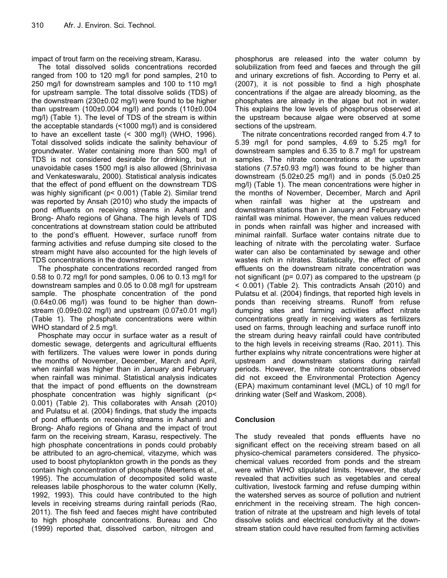impact of trout farm on the receiving stream, Karasu.

The total dissolved solids concentrations recorded ranged from 100 to 120 mg/l for pond samples, 210 to 250 mg/l for downstream samples and 100 to 110 mg/l for upstream sample. The total dissolve solids (TDS) of the downstream (230±0.02 mg/l) were found to be higher than upstream (100±0.004 mg/l) and ponds (110±0.004 mg/l) (Table 1). The level of TDS of the stream is within the acceptable standards (<1000 mg/l) and is considered to have an excellent taste (< 300 mg/l) (WHO, 1996). Total dissolved solids indicate the salinity behaviour of groundwater. Water containing more than 500 mg/l of TDS is not considered desirable for drinking, but in unavoidable cases 1500 mg/l is also allowed (Shrinivasa and Venkateswaralu, 2000). Statistical analysis indicates that the effect of pond effluent on the downstream TDS was highly significant (p< 0.001) (Table 2). Similar trend was reported by Ansah (2010) who study the impacts of pond effluents on receiving streams in Ashanti and Brong- Ahafo regions of Ghana. The high levels of TDS concentrations at downstream station could be attributed to the pond's effluent. However, surface runoff from farming activities and refuse dumping site closed to the stream might have also accounted for the high levels of TDS concentrations in the downstream.

The phosphate concentrations recorded ranged from 0.58 to 0.72 mg/l for pond samples, 0.06 to 0.13 mg/l for downstream samples and 0.05 to 0.08 mg/l for upstream sample. The phosphate concentration of the pond (0.64±0.06 mg/l) was found to be higher than downstream  $(0.09\pm0.02 \text{ mg/l})$  and upstream  $(0.07\pm0.01 \text{ mg/l})$ (Table 1). The phosphate concentrations were within WHO standard of 2.5 mg/l.

Phosphate may occur in surface water as a result of domestic sewage, detergents and agricultural effluents with fertilizers. The values were lower in ponds during the months of November, December, March and April, when rainfall was higher than in January and February when rainfall was minimal. Statistical analysis indicates that the impact of pond effluents on the downstream phosphate concentration was highly significant (p< 0.001) (Table 2). This collaborates with Ansah (2010) and Pulatsu et al. (2004) findings, that study the impacts of pond effluents on receiving streams in Ashanti and Brong- Ahafo regions of Ghana and the impact of trout farm on the receiving stream, Karasu, respectively. The high phosphate concentrations in ponds could probably be attributed to an agro-chemical, vitazyme, which was used to boost phytoplankton growth in the ponds as they contain high concentration of phosphate (Meertens et al., 1995). The accumulation of decomposited solid waste releases labile phosphorous to the water column (Kelly, 1992, 1993). This could have contributed to the high levels in receiving streams during rainfall periods (Rao, 2011). The fish feed and faeces might have contributed to high phosphate concentrations. Bureau and Cho (1999) reported that, dissolved carbon, nitrogen and

phosphorus are released into the water column by solubilization from feed and faeces and through the gill and urinary excretions of fish. According to Perry et al. (2007), it is not possible to find a high phosphate concentrations if the algae are already blooming, as the phosphates are already in the algae but not in water. This explains the low levels of phosphorus observed at the upstream because algae were observed at some sections of the upstream.

The nitrate concentrations recorded ranged from 4.7 to 5.39 mg/l for pond samples, 4.69 to 5.25 mg/l for downstream samples and 6.35 to 8.7 mg/l for upstream samples. The nitrate concentrations at the upstream stations (7.57±0.93 mg/l) was found to be higher than downstream (5.02±0.25 mg/l) and in ponds (5.0±0.25 mg/l) (Table 1). The mean concentrations were higher in the months of November, December, March and April when rainfall was higher at the upstream and downstream stations than in January and February when rainfall was minimal. However, the mean values reduced in ponds when rainfall was higher and increased with minimal rainfall. Surface water contains nitrate due to leaching of nitrate with the percolating water. Surface water can also be contaminated by sewage and other wastes rich in nitrates. Statistically, the effect of pond effluents on the downstream nitrate concentration was not significant (p= 0.07) as compared to the upstream (p < 0.001) (Table 2). This contradicts Ansah (2010) and Pulatsu et al. (2004) findings, that reported high levels in ponds than receiving streams. Runoff from refuse dumping sites and farming activities affect nitrate concentrations greatly in receiving waters as fertilizers used on farms, through leaching and surface runoff into the stream during heavy rainfall could have contributed to the high levels in receiving streams (Rao, 2011). This further explains why nitrate concentrations were higher at upstream and downstream stations during rainfall periods. However, the nitrate concentrations observed did not exceed the Environmental Protection Agency (EPA) maximum contaminant level (MCL) of 10 mg/l for drinking water (Self and Waskom, 2008).

# **Conclusion**

The study revealed that ponds effluents have no significant effect on the receiving stream based on all physico-chemical parameters considered. The physicochemical values recorded from ponds and the stream were within WHO stipulated limits. However, the study revealed that activities such as vegetables and cereal cultivation, livestock farming and refuse dumping within the watershed serves as source of pollution and nutrient enrichment in the receiving stream. The high concentration of nitrate at the upstream and high levels of total dissolve solids and electrical conductivity at the downstream station could have resulted from farming activities